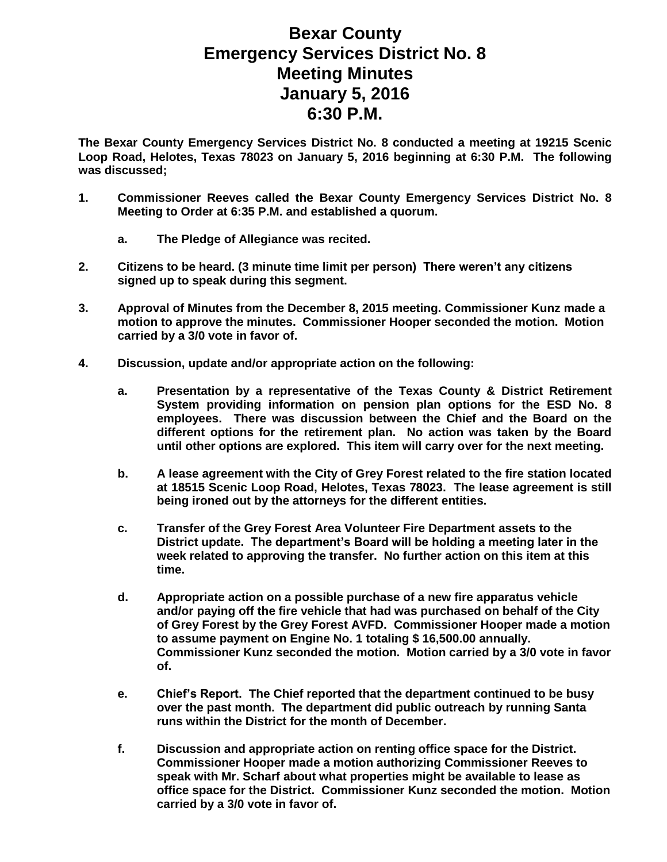## **Bexar County Emergency Services District No. 8 Meeting Minutes January 5, 2016 6:30 P.M.**

**The Bexar County Emergency Services District No. 8 conducted a meeting at 19215 Scenic Loop Road, Helotes, Texas 78023 on January 5, 2016 beginning at 6:30 P.M. The following was discussed;**

- **1. Commissioner Reeves called the Bexar County Emergency Services District No. 8 Meeting to Order at 6:35 P.M. and established a quorum.** 
	- **a. The Pledge of Allegiance was recited.**
- **2. Citizens to be heard. (3 minute time limit per person) There weren't any citizens signed up to speak during this segment.**
- **3. Approval of Minutes from the December 8, 2015 meeting. Commissioner Kunz made a motion to approve the minutes. Commissioner Hooper seconded the motion. Motion carried by a 3/0 vote in favor of.**
- **4. Discussion, update and/or appropriate action on the following:**
	- **a. Presentation by a representative of the Texas County & District Retirement System providing information on pension plan options for the ESD No. 8 employees. There was discussion between the Chief and the Board on the different options for the retirement plan. No action was taken by the Board until other options are explored. This item will carry over for the next meeting.**
	- **b. A lease agreement with the City of Grey Forest related to the fire station located at 18515 Scenic Loop Road, Helotes, Texas 78023. The lease agreement is still being ironed out by the attorneys for the different entities.**
	- **c. Transfer of the Grey Forest Area Volunteer Fire Department assets to the District update. The department's Board will be holding a meeting later in the week related to approving the transfer. No further action on this item at this time.**
	- **d. Appropriate action on a possible purchase of a new fire apparatus vehicle and/or paying off the fire vehicle that had was purchased on behalf of the City of Grey Forest by the Grey Forest AVFD. Commissioner Hooper made a motion to assume payment on Engine No. 1 totaling \$ 16,500.00 annually. Commissioner Kunz seconded the motion. Motion carried by a 3/0 vote in favor of.**
	- **e. Chief's Report. The Chief reported that the department continued to be busy over the past month. The department did public outreach by running Santa runs within the District for the month of December.**
	- **f. Discussion and appropriate action on renting office space for the District. Commissioner Hooper made a motion authorizing Commissioner Reeves to speak with Mr. Scharf about what properties might be available to lease as office space for the District. Commissioner Kunz seconded the motion. Motion carried by a 3/0 vote in favor of.**